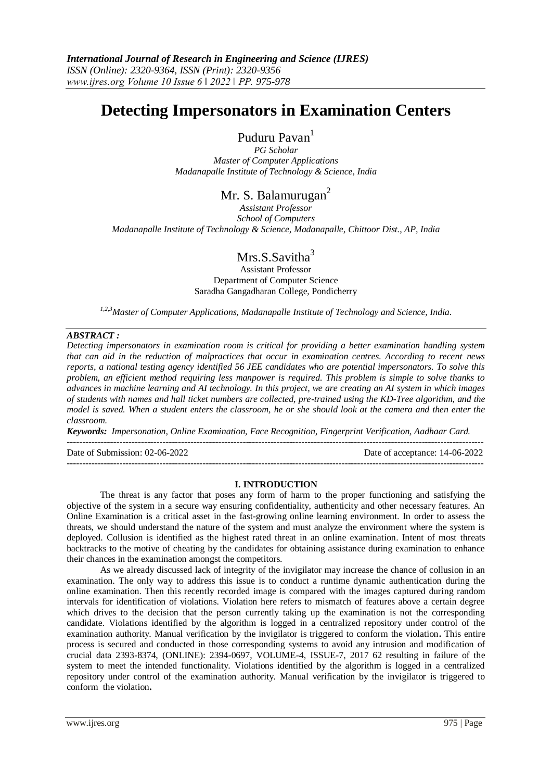# **Detecting Impersonators in Examination Centers**

Puduru Pavan<sup>1</sup>

*PG Scholar Master of Computer Applications Madanapalle Institute of Technology & Science, India*

# Mr. S. Balamurugan<sup>2</sup>

*Assistant Professor School of Computers Madanapalle Institute of Technology & Science, Madanapalle, Chittoor Dist., AP, India*

# $Mrs.S.Savitha<sup>3</sup>$

Assistant Professor Department of Computer Science Saradha Gangadharan College, Pondicherry

*1,2,3Master of Computer Applications, Madanapalle Institute of Technology and Science, India.*

# *ABSTRACT :*

*Detecting impersonators in examination room is critical for providing a better examination handling system that can aid in the reduction of malpractices that occur in examination centres. According to recent news reports, a national testing agency identified 56 JEE candidates who are potential impersonators. To solve this problem, an efficient method requiring less manpower is required. This problem is simple to solve thanks to advances in machine learning and AI technology. In this project, we are creating an AI system in which images of students with names and hall ticket numbers are collected, pre-trained using the KD-Tree algorithm, and the model is saved. When a student enters the classroom, he or she should look at the camera and then enter the classroom.*

*Keywords: Impersonation, Online Examination, Face Recognition, Fingerprint Verification, Aadhaar Card.* ---------------------------------------------------------------------------------------------------------------------------------------

---------------------------------------------------------------------------------------------------------------------------------------

Date of Submission: 02-06-2022 Date of acceptance: 14-06-2022

### **I. INTRODUCTION**

The threat is any factor that poses any form of harm to the proper functioning and satisfying the objective of the system in a secure way ensuring confidentiality, authenticity and other necessary features. An Online Examination is a critical asset in the fast-growing online learning environment. In order to assess the threats, we should understand the nature of the system and must analyze the environment where the system is deployed. Collusion is identified as the highest rated threat in an online examination. Intent of most threats backtracks to the motive of cheating by the candidates for obtaining assistance during examination to enhance their chances in the examination amongst the competitors.

As we already discussed lack of integrity of the invigilator may increase the chance of collusion in an examination. The only way to address this issue is to conduct a runtime dynamic authentication during the online examination. Then this recently recorded image is compared with the images captured during random intervals for identification of violations. Violation here refers to mismatch of features above a certain degree which drives to the decision that the person currently taking up the examination is not the corresponding candidate. Violations identified by the algorithm is logged in a centralized repository under control of the examination authority. Manual verification by the invigilator is triggered to conform the violation**.** This entire process is secured and conducted in those corresponding systems to avoid any intrusion and modification of crucial data 2393-8374, (ONLINE): 2394-0697, VOLUME-4, ISSUE-7, 2017 62 resulting in failure of the system to meet the intended functionality. Violations identified by the algorithm is logged in a centralized repository under control of the examination authority. Manual verification by the invigilator is triggered to conform the violation**.**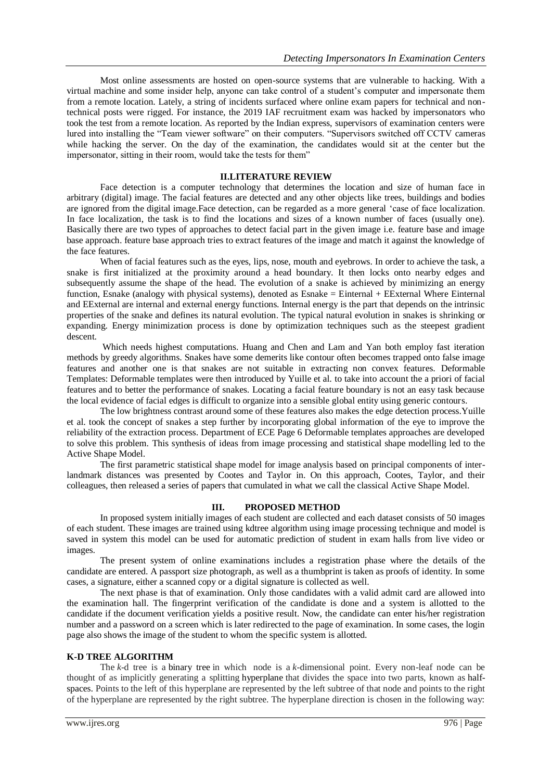Most online assessments are hosted on open-source systems that are vulnerable to hacking. With a virtual machine and some insider help, anyone can take control of a student's computer and impersonate them from a remote location. Lately, a string of incidents surfaced where online exam papers for technical and nontechnical posts were rigged. For instance, the 2019 IAF recruitment exam was hacked by impersonators who took the test from a remote location. As reported by the Indian express, supervisors of examination centers were lured into installing the "Team viewer software" on their computers. "Supervisors switched off CCTV cameras while hacking the server. On the day of the examination, the candidates would sit at the center but the impersonator, sitting in their room, would take the tests for them"

#### **II.LITERATURE REVIEW**

Face detection is a computer technology that determines the location and size of human face in arbitrary (digital) image. The facial features are detected and any other objects like trees, buildings and bodies are ignored from the digital image.Face detection, can be regarded as a more general 'case of face localization. In face localization, the task is to find the locations and sizes of a known number of faces (usually one). Basically there are two types of approaches to detect facial part in the given image i.e. feature base and image base approach. feature base approach tries to extract features of the image and match it against the knowledge of the face features.

When of facial features such as the eyes, lips, nose, mouth and eyebrows. In order to achieve the task, a snake is first initialized at the proximity around a head boundary. It then locks onto nearby edges and subsequently assume the shape of the head. The evolution of a snake is achieved by minimizing an energy function, Esnake (analogy with physical systems), denoted as Esnake = Einternal + EExternal Where Einternal and EExternal are internal and external energy functions. Internal energy is the part that depends on the intrinsic properties of the snake and defines its natural evolution. The typical natural evolution in snakes is shrinking or expanding. Energy minimization process is done by optimization techniques such as the steepest gradient descent.

Which needs highest computations. Huang and Chen and Lam and Yan both employ fast iteration methods by greedy algorithms. Snakes have some demerits like contour often becomes trapped onto false image features and another one is that snakes are not suitable in extracting non convex features. Deformable Templates: Deformable templates were then introduced by Yuille et al. to take into account the a priori of facial features and to better the performance of snakes. Locating a facial feature boundary is not an easy task because the local evidence of facial edges is difficult to organize into a sensible global entity using generic contours.

The low brightness contrast around some of these features also makes the edge detection process.Yuille et al. took the concept of snakes a step further by incorporating global information of the eye to improve the reliability of the extraction process. Department of ECE Page 6 Deformable templates approaches are developed to solve this problem. This synthesis of ideas from image processing and statistical shape modelling led to the Active Shape Model.

The first parametric statistical shape model for image analysis based on principal components of interlandmark distances was presented by Cootes and Taylor in. On this approach, Cootes, Taylor, and their colleagues, then released a series of papers that cumulated in what we call the classical Active Shape Model.

### **III. PROPOSED METHOD**

In proposed system initially images of each student are collected and each dataset consists of 50 images of each student. These images are trained using kdtree algorithm using image processing technique and model is saved in system this model can be used for automatic prediction of student in exam halls from live video or images.

The present system of online examinations includes a registration phase where the details of the candidate are entered. A passport size photograph, as well as a thumbprint is taken as proofs of identity. In some cases, a signature, either a scanned copy or a digital signature is collected as well.

The next phase is that of examination. Only those candidates with a valid admit card are allowed into the examination hall. The fingerprint verification of the candidate is done and a system is allotted to the candidate if the document verification yields a positive result. Now, the candidate can enter his/her registration number and a password on a screen which is later redirected to the page of examination. In some cases, the login page also shows the image of the student to whom the specific system is allotted.

#### **K-D TREE ALGORITHM**

The *k*-d tree is a [binary tree](https://en.wikipedia.org/wiki/Binary_tree) in which node is a *k*-dimensional point. Every non-leaf node can be thought of as implicitly generating a splitting [hyperplane](https://en.wikipedia.org/wiki/Hyperplane) that divides the space into two parts, known as [half](https://en.wikipedia.org/wiki/Half-space_(geometry))[spaces.](https://en.wikipedia.org/wiki/Half-space_(geometry)) Points to the left of this hyperplane are represented by the left subtree of that node and points to the right of the hyperplane are represented by the right subtree. The hyperplane direction is chosen in the following way: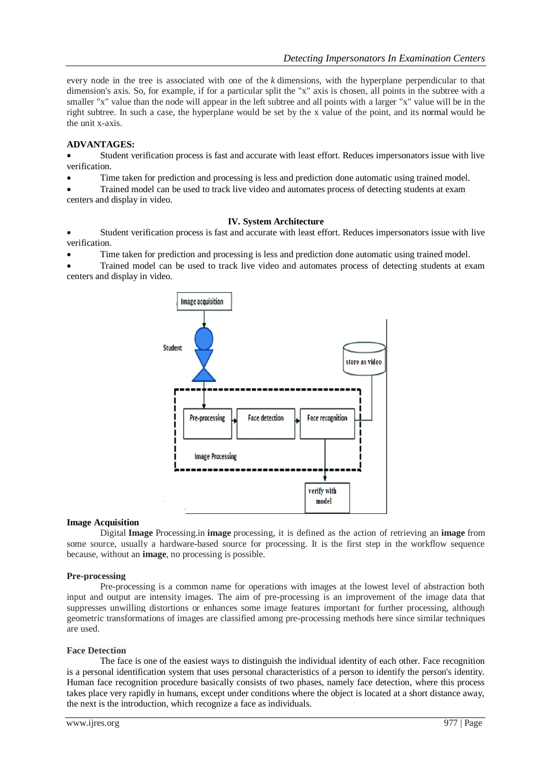every node in the tree is associated with one of the *k* dimensions, with the hyperplane perpendicular to that dimension's axis. So, for example, if for a particular split the "x" axis is chosen, all points in the subtree with a smaller "x" value than the node will appear in the left subtree and all points with a larger "x" value will be in the right subtree. In such a case, the hyperplane would be set by the x value of the point, and its [normal](https://en.wikipedia.org/wiki/Surface_normal) would be the unit x-axis.

## **ADVANTAGES:**

 Student verification process is fast and accurate with least effort. Reduces impersonators issue with live verification.

Time taken for prediction and processing is less and prediction done automatic using trained model.

 Trained model can be used to track live video and automates process of detecting students at exam centers and display in video.

### **IV. System Architecture**

 Student verification process is fast and accurate with least effort. Reduces impersonators issue with live verification.

Time taken for prediction and processing is less and prediction done automatic using trained model.

 Trained model can be used to track live video and automates process of detecting students at exam centers and display in video.



### **Image Acquisition**

Digital **Image** Processing.in **image** processing, it is defined as the action of retrieving an **image** from some source, usually a hardware-based source for processing. It is the first step in the workflow sequence because, without an **image**, no processing is possible.

### **Pre-processing**

Pre-processing is a common name for operations with images at the lowest level of abstraction both input and output are intensity images. The aim of pre-processing is an improvement of the image data that suppresses unwilling distortions or enhances some image features important for further processing, although geometric transformations of images are classified among pre-processing methods here since similar techniques are used.

### **Face Detection**

The face is one of the easiest ways to distinguish the individual identity of each other. Face recognition is a personal identification system that uses personal characteristics of a person to identify the person's identity. Human face recognition procedure basically consists of two phases, namely face detection, where this process takes place very rapidly in humans, except under conditions where the object is located at a short distance away, the next is the introduction, which recognize a face as individuals.